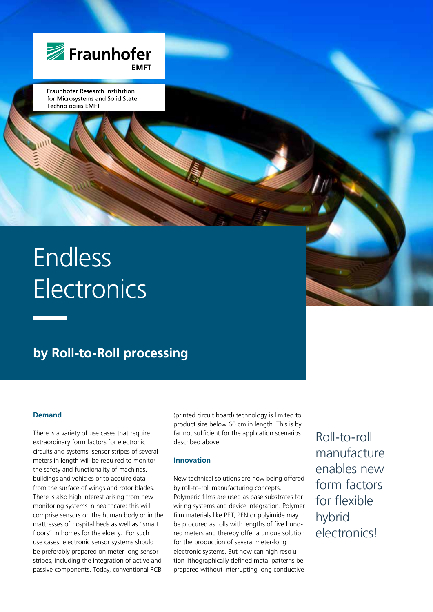

Fraunhofer Research Institution for Microsystems and Solid State **Technologies EMFT** 

# Endless **Electronics**

# **by Roll-to-Roll processing**

#### **Demand**

There is a variety of use cases that require extraordinary form factors for electronic circuits and systems: sensor stripes of several meters in length will be required to monitor the safety and functionality of machines, buildings and vehicles or to acquire data from the surface of wings and rotor blades. There is also high interest arising from new monitoring systems in healthcare: this will comprise sensors on the human body or in the mattresses of hospital beds as well as "smart floors" in homes for the elderly. For such use cases, electronic sensor systems should be preferably prepared on meter-long sensor stripes, including the integration of active and passive components. Today, conventional PCB

(printed circuit board) technology is limited to product size below 60 cm in length. This is by far not sufficient for the application scenarios described above.

#### **Innovation**

New technical solutions are now being offered by roll-to-roll manufacturing concepts. Polymeric films are used as base substrates for wiring systems and device integration. Polymer film materials like PET, PEN or polyimide may be procured as rolls with lengths of five hundred meters and thereby offer a unique solution for the production of several meter-long electronic systems. But how can high resolution lithographically defined metal patterns be prepared without interrupting long conductive

Roll-to-roll manufacture enables new form factors for flexible hybrid electronics!